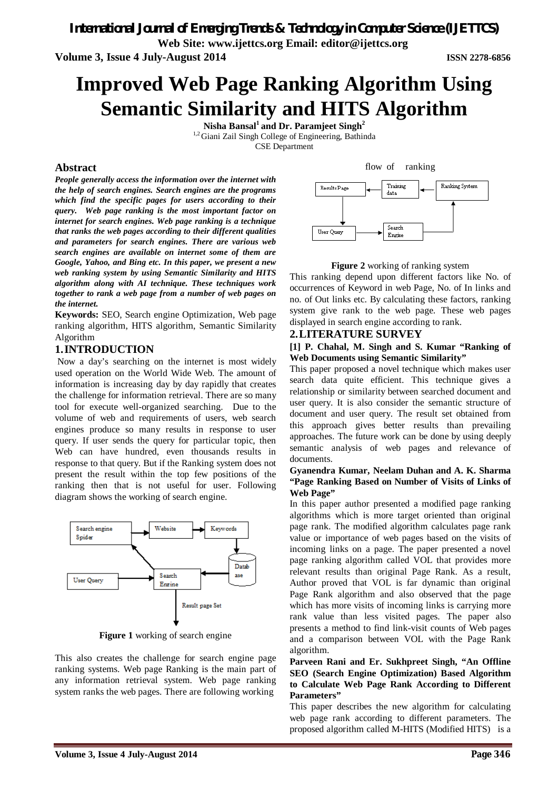*International Journal of Emerging Trends & Technology in Computer Science (IJETTCS)*

**Web Site: www.ijettcs.org Email: editor@ijettcs.org** 

**Volume 3, Issue 4 July-August 2014 ISSN 2278-6856**

# **Improved Web Page Ranking Algorithm Using Semantic Similarity and HITS Algorithm**

**Nisha Bansal<sup>1</sup>and Dr. Paramjeet Singh<sup>2</sup>** <sup>1,2</sup> Giani Zail Singh College of Engineering, Bathinda CSE Department

# **Abstract**

*People generally access the information over the internet with the help of search engines. Search engines are the programs which find the specific pages for users according to their query. Web page ranking is the most important factor on internet for search engines. Web page ranking is a technique that ranks the web pages according to their different qualities and parameters for search engines. There are various web search engines are available on internet some of them are Google, Yahoo, and Bing etc. In this paper, we present a new web ranking system by using Semantic Similarity and HITS algorithm along with AI technique. These techniques work together to rank a web page from a number of web pages on the internet.*

**Keywords:** SEO, Search engine Optimization, Web page ranking algorithm, HITS algorithm, Semantic Similarity Algorithm

# **1.INTRODUCTION**

Now a day's searching on the internet is most widely used operation on the World Wide Web. The amount of information is increasing day by day rapidly that creates the challenge for information retrieval. There are so many tool for execute well-organized searching. Due to the volume of web and requirements of users, web search engines produce so many results in response to user query. If user sends the query for particular topic, then Web can have hundred, even thousands results in response to that query. But if the Ranking system does not present the result within the top few positions of the ranking then that is not useful for user. Following diagram shows the working of search engine.



**Figure 1** working of search engine

This also creates the challenge for search engine page ranking systems. Web page Ranking is the main part of any information retrieval system. Web page ranking system ranks the web pages. There are following working

flow of ranking



## **Figure 2** working of ranking system

This ranking depend upon different factors like No. of occurrences of Keyword in web Page, No. of In links and no. of Out links etc. By calculating these factors, ranking system give rank to the web page. These web pages displayed in search engine according to rank.

# **2.LITERATURE SURVEY**

### **[1] P. Chahal, M. Singh and S. Kumar "Ranking of Web Documents using Semantic Similarity"**

This paper proposed a novel technique which makes user search data quite efficient. This technique gives a relationship or similarity between searched document and user query. It is also consider the semantic structure of document and user query. The result set obtained from this approach gives better results than prevailing approaches. The future work can be done by using deeply semantic analysis of web pages and relevance of documents.

### **Gyanendra Kumar, Neelam Duhan and A. K. Sharma "Page Ranking Based on Number of Visits of Links of Web Page"**

In this paper author presented a modified page ranking algorithms which is more target oriented than original page rank. The modified algorithm calculates page rank value or importance of web pages based on the visits of incoming links on a page. The paper presented a novel page ranking algorithm called VOL that provides more relevant results than original Page Rank. As a result, Author proved that VOL is far dynamic than original Page Rank algorithm and also observed that the page which has more visits of incoming links is carrying more rank value than less visited pages. The paper also presents a method to find link-visit counts of Web pages and a comparison between VOL with the Page Rank algorithm.

## **Parveen Rani and Er. Sukhpreet Singh, "An Offline SEO (Search Engine Optimization) Based Algorithm to Calculate Web Page Rank According to Different Parameters"**

This paper describes the new algorithm for calculating web page rank according to different parameters. The proposed algorithm called M-HITS (Modified HITS) is a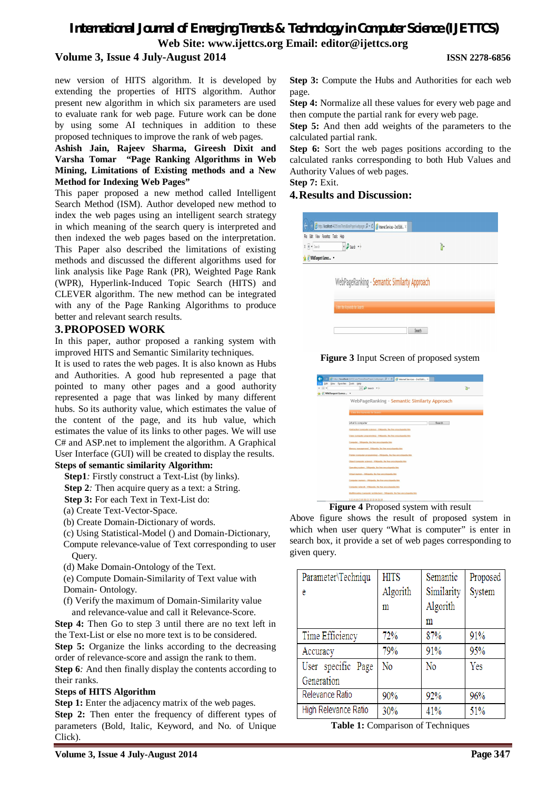# *International Journal of Emerging Trends & Technology in Computer Science (IJETTCS)* **Web Site: www.ijettcs.org Email: editor@ijettcs.org Volume 3, Issue 4 July-August 2014 ISSN 2278-6856**

new version of HITS algorithm. It is developed by extending the properties of HITS algorithm. Author present new algorithm in which six parameters are used to evaluate rank for web page. Future work can be done by using some AI techniques in addition to these proposed techniques to improve the rank of web pages.

**Ashish Jain, Rajeev Sharma, Gireesh Dixit and Varsha Tomar "Page Ranking Algorithms in Web Mining, Limitations of Existing methods and a New Method for Indexing Web Pages"**

This paper proposed a new method called Intelligent Search Method (ISM). Author developed new method to index the web pages using an intelligent search strategy in which meaning of the search query is interpreted and then indexed the web pages based on the interpretation. This Paper also described the limitations of existing methods and discussed the different algorithms used for link analysis like Page Rank (PR), Weighted Page Rank (WPR), Hyperlink-Induced Topic Search (HITS) and CLEVER algorithm. The new method can be integrated with any of the Page Ranking Algorithms to produce better and relevant search results.

# **3.PROPOSED WORK**

In this paper, author proposed a ranking system with improved HITS and Semantic Similarity techniques.

It is used to rates the web pages. It is also known as Hubs and Authorities. A good hub represented a page that pointed to many other pages and a good authority represented a page that was linked by many different hubs. So its authority value, which estimates the value of the content of the page, and its hub value, which estimates the value of its links to other pages. We will use C# and ASP.net to implement the algorithm. A Graphical User Interface (GUI) will be created to display the results.

# **Steps of semantic similarity Algorithm:**

**Step1***:* Firstly construct a Text-List (by links).

- **Step 2***:* Then acquire query as a text: a String.
- **Step 3:** For each Text in Text-List do:
- (a) Create Text-Vector-Space.
- (b) Create Domain-Dictionary of words.
- (c) Using Statistical-Model () and Domain-Dictionary,
- Compute relevance-value of Text corresponding to user Query.
- (d) Make Domain-Ontology of the Text.
- (e) Compute Domain-Similarity of Text value with
- Domain- Ontology.
- (f) Verify the maximum of Domain-Similarity value and relevance-value and call it Relevance-Score.
- **Step 4:** Then Go to step 3 until there are no text left in the Text-List or else no more text is to be considered.

**Step 5:** Organize the links according to the decreasing order of relevance-score and assign the rank to them.

**Step 6***:* And then finally display the contents according to their ranks.

### **Steps of HITS Algorithm**

**Step 1:** Enter the adjacency matrix of the web pages. **Step 2:** Then enter the frequency of different types of parameters (Bold, Italic, Keyword, and No. of Unique Click).

**Step 3:** Compute the Hubs and Authorities for each web page.

**Step 4:** Normalize all these values for every web page and then compute the partial rank for every web page.

**Step 5:** And then add weights of the parameters to the calculated partial rank.

**Step 6:** Sort the web pages positions according to the calculated ranks corresponding to both Hub Values and Authority Values of web pages.

**Step 7:** Exit.

# **4.Results and Discussion:**

| File Edit View Favorites Tools Help<br>$X + Y$ search | $v$ $\rho$ search $v$ $v$                    | λ, |  |
|-------------------------------------------------------|----------------------------------------------|----|--|
| <sup>2</sup> WildTangent Games  v                     |                                              |    |  |
|                                                       |                                              |    |  |
|                                                       |                                              |    |  |
|                                                       | WebPageRanking - Semantic Similarty Approach |    |  |
|                                                       | Enter the Keywords for Search                |    |  |

### **Figure 3** Input Screen of proposed system

|                                                 | http://localhost.44205/seoThesisBasePaper/webpager. $\mathsf{D} \times \mathsf{C}$ Memet Services - 2nd Editi X |  |
|-------------------------------------------------|-----------------------------------------------------------------------------------------------------------------|--|
| Edit<br>$+$<br><sup>2</sup> WildTangent Games v | View Fgyorites Tools Help<br>$v$ $\Omega$ Search $v$ +                                                          |  |
|                                                 |                                                                                                                 |  |
|                                                 | WebPageRanking - Semantic Similarty Approach                                                                    |  |
|                                                 | Errier the Keywords for Search                                                                                  |  |
|                                                 | what is computer<br>Search                                                                                      |  |
|                                                 | Abstraction (correcter science) - Wikipedia, the free encyclopedia.htm                                          |  |
|                                                 | Class (correcter programming) - Wikipedia, the free encyclopedia htm                                            |  |
|                                                 | Compater - Wikipedia, the free encyclopedia htm                                                                 |  |
|                                                 | Memory management - Witipedia, the free encyclopedia htm.                                                       |  |
|                                                 | Pointer (computer programming) - Wikipedia, the free encyclopedia.htm                                           |  |
|                                                 | Object (computer science) - Wikipedia, the free encyclopedia htm.                                               |  |
|                                                 | Operating system - Wikipedia, the free encyclopedia htm                                                         |  |
|                                                 | Virtual memory - Wikipedia, the free encyclopedia htm.                                                          |  |
|                                                 | Computer memory - Wikipedia, the free encyclopedia html                                                         |  |
|                                                 | Computer network - Wikipedia, the free encyclopedia htm.                                                        |  |
|                                                 | Multitreading (computer architecture) . Wikipedia, the free encyclopedia him                                    |  |
|                                                 | 12345678910111213141516                                                                                         |  |

**Figure 4** Proposed system with result

Above figure shows the result of proposed system in which when user query "What is computer" is enter in search box, it provide a set of web pages corresponding to given query.

| Parameter\Techniqu   | <b>HITS</b>    | Semantic       | Proposed |
|----------------------|----------------|----------------|----------|
| e                    | Algorith       | Similarity     | System   |
|                      | m              | Algorith       |          |
|                      |                | m              |          |
| Time Efficiency      | 72%            | 87%            | 91%      |
| Accuracy             | 79%            | 91%            | 95%      |
| User specific Page   | N <sub>o</sub> | N <sub>0</sub> | Yes      |
| Generation           |                |                |          |
| Relevance Ratio      | 90%            | 92%            | 96%      |
| High Relevance Ratio | 30%            | 41%            | 51%      |

**Table 1:** Comparison of Techniques